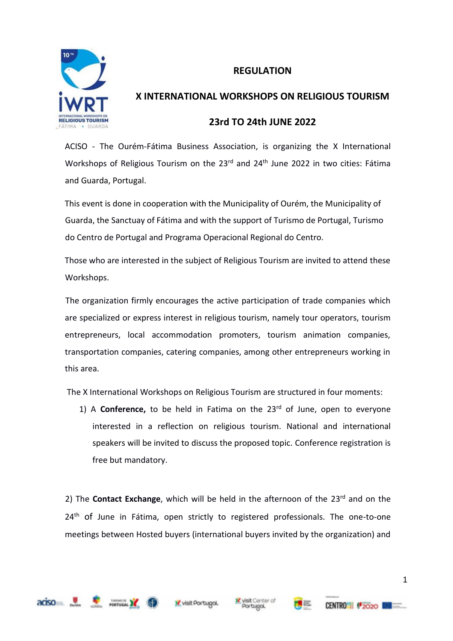## **REGULATION**



# **X INTERNATIONAL WORKSHOPS ON RELIGIOUS TOURISM**

## **23rd TO 24th JUNE 2022**

ACISO - The Ourém-Fátima Business Association, is organizing the X International Workshops of Religious Tourism on the 23<sup>rd</sup> and 24<sup>th</sup> June 2022 in two cities: Fátima and Guarda, Portugal.

This event is done in cooperation with the Municipality of Ourém, the Municipality of Guarda, the Sanctuay of Fátima and with the support of Turismo de Portugal, Turismo do Centro de Portugal and Programa Operacional Regional do Centro.

Those who are interested in the subject of Religious Tourism are invited to attend these Workshops.

The organization firmly encourages the active participation of trade companies which are specialized or express interest in religious tourism, namely tour operators, tourism entrepreneurs, local accommodation promoters, tourism animation companies, transportation companies, catering companies, among other entrepreneurs working in this area.

The X International Workshops on Religious Tourism are structured in four moments:

1) A **Conference,** to be held in Fatima on the 23rd of June, open to everyone interested in a reflection on religious tourism. National and international speakers will be invited to discuss the proposed topic. Conference registration is free but mandatory.

2) The **Contact Exchange**, which will be held in the afternoon of the 23rd and on the 24<sup>th</sup> of June in Fátima, open strictly to registered professionals. The one-to-one meetings between Hosted buyers (international buyers invited by the organization) and









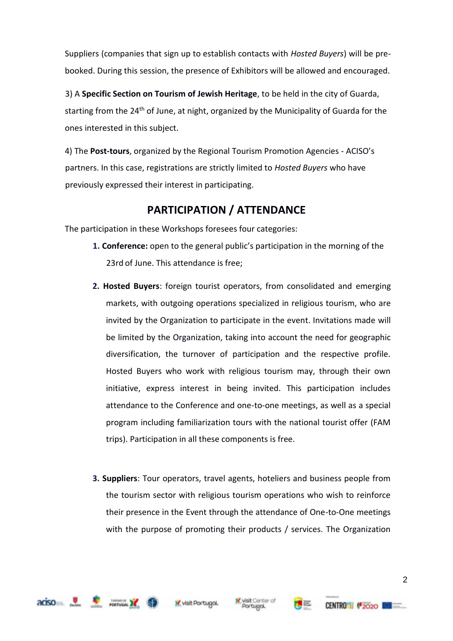Suppliers (companies that sign up to establish contacts with *Hosted Buyers*) will be prebooked. During this session, the presence of Exhibitors will be allowed and encouraged.

3) A **Specific Section on Tourism of Jewish Heritage**, to be held in the city of Guarda, starting from the 24<sup>th</sup> of June, at night, organized by the Municipality of Guarda for the ones interested in this subject.

4) The **Post-tours**, organized by the Regional Tourism Promotion Agencies - ACISO's partners. In this case, registrations are strictly limited to *Hosted Buyers* who have previously expressed their interest in participating.

## **PARTICIPATION / ATTENDANCE**

The participation in these Workshops foresees four categories:

- **1. Conference:** open to the general public's participation in the morning of the 23rd of June. This attendance is free;
- **2. Hosted Buyers**: foreign tourist operators, from consolidated and emerging markets, with outgoing operations specialized in religious tourism, who are invited by the Organization to participate in the event. Invitations made will be limited by the Organization, taking into account the need for geographic diversification, the turnover of participation and the respective profile. Hosted Buyers who work with religious tourism may, through their own initiative, express interest in being invited. This participation includes attendance to the Conference and one-to-one meetings, as well as a special program including familiarization tours with the national tourist offer (FAM trips). Participation in all these components is free.
- **3. Suppliers**: Tour operators, travel agents, hoteliers and business people from the tourism sector with religious tourism operations who wish to reinforce their presence in the Event through the attendance of One-to-One meetings with the purpose of promoting their products / services. The Organization









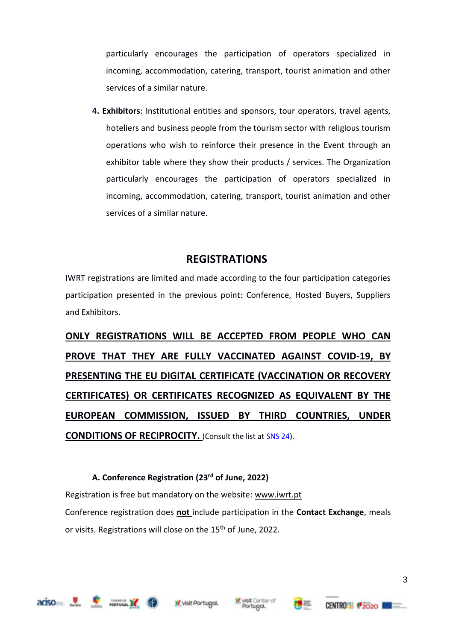particularly encourages the participation of operators specialized in incoming, accommodation, catering, transport, tourist animation and other services of a similar nature.

**4. Exhibitors**: Institutional entities and sponsors, tour operators, travel agents, hoteliers and business people from the tourism sector with religious tourism operations who wish to reinforce their presence in the Event through an exhibitor table where they show their products / services. The Organization particularly encourages the participation of operators specialized in incoming, accommodation, catering, transport, tourist animation and other services of a similar nature.

## **REGISTRATIONS**

IWRT registrations are limited and made according to the four participation categories participation presented in the previous point: Conference, Hosted Buyers, Suppliers and Exhibitors.

**ONLY REGISTRATIONS WILL BE ACCEPTED FROM PEOPLE WHO CAN PROVE THAT THEY ARE FULLY VACCINATED AGAINST COVID-19, BY PRESENTING THE EU DIGITAL CERTIFICATE (VACCINATION OR RECOVERY CERTIFICATES) OR CERTIFICATES RECOGNIZED AS EQUIVALENT BY THE EUROPEAN COMMISSION, ISSUED BY THIRD COUNTRIES, UNDER CONDITIONS OF RECIPROCITY.** (Consult the list a[t SNS 24\)](https://www.sns24.gov.pt/tema/doencas-infecciosas/covid-19/prevencao/prevencao-dos-viajantes/#sec-4).

## **A. Conference Registration (23rd of June, 2022)**

Registration is free but mandatory on the website: www.iwrt.pt

Conference registration does **not** include participation in the **Contact Exchange**, meals or visits. Registrations will close on the 15<sup>th</sup> of June, 2022.







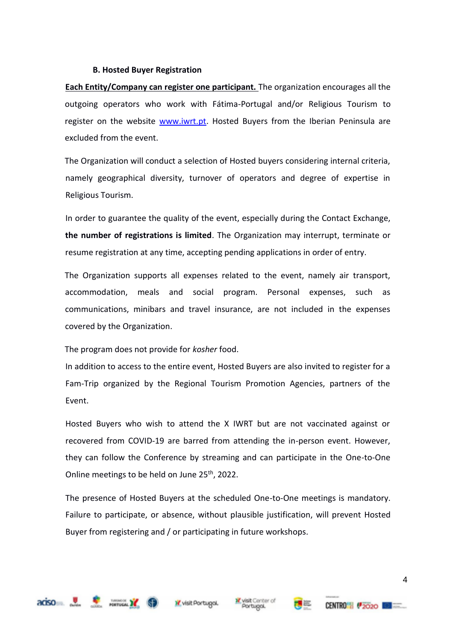#### **B. Hosted Buyer Registration**

**Each Entity/Company can register one participant.** The organization encourages all the outgoing operators who work with Fátima-Portugal and/or Religious Tourism to register on the website www.iwrt.pt. Hosted Buyers from the Iberian Peninsula are excluded from the event.

The Organization will conduct a selection of Hosted buyers considering internal criteria, namely geographical diversity, turnover of operators and degree of expertise in Religious Tourism.

In order to guarantee the quality of the event, especially during the Contact Exchange, **the number of registrations is limited**. The Organization may interrupt, terminate or resume registration at any time, accepting pending applications in order of entry.

The Organization supports all expenses related to the event, namely air transport, accommodation, meals and social program. Personal expenses, such as communications, minibars and travel insurance, are not included in the expenses covered by the Organization.

The program does not provide for *kosher* food.

In addition to access to the entire event, Hosted Buyers are also invited to register for a Fam-Trip organized by the Regional Tourism Promotion Agencies, partners of the Event.

Hosted Buyers who wish to attend the X IWRT but are not vaccinated against or recovered from COVID-19 are barred from attending the in-person event. However, they can follow the Conference by streaming and can participate in the One-to-One Online meetings to be held on June 25<sup>th</sup>, 2022.

The presence of Hosted Buyers at the scheduled One-to-One meetings is mandatory. Failure to participate, or absence, without plausible justification, will prevent Hosted Buyer from registering and / or participating in future workshops.









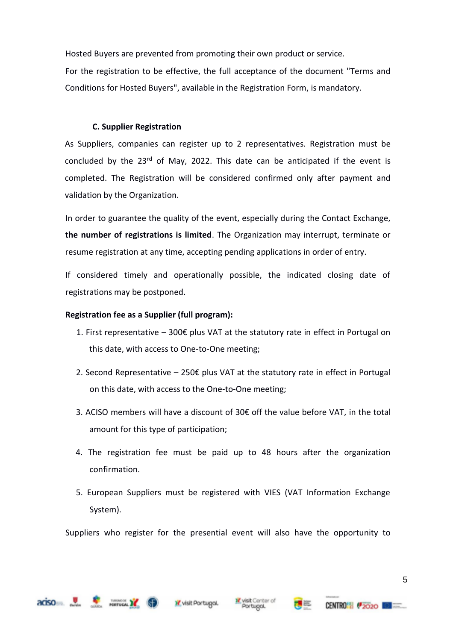Hosted Buyers are prevented from promoting their own product or service.

For the registration to be effective, the full acceptance of the document "Terms and Conditions for Hosted Buyers", available in the Registration Form, is mandatory.

#### **C. Supplier Registration**

As Suppliers, companies can register up to 2 representatives. Registration must be concluded by the  $23^{rd}$  of May, 2022. This date can be anticipated if the event is completed. The Registration will be considered confirmed only after payment and validation by the Organization.

In order to guarantee the quality of the event, especially during the Contact Exchange, **the number of registrations is limited**. The Organization may interrupt, terminate or resume registration at any time, accepting pending applications in order of entry.

If considered timely and operationally possible, the indicated closing date of registrations may be postponed.

### **Registration fee as a Supplier (full program):**

- 1. First representative  $-300€$  plus VAT at the statutory rate in effect in Portugal on this date, with access to One-to-One meeting;
- 2. Second Representative  $-$  250€ plus VAT at the statutory rate in effect in Portugal on this date, with access to the One-to-One meeting;
- 3. ACISO members will have a discount of 30€ off the value before VAT, in the total amount for this type of participation;
- 4. The registration fee must be paid up to 48 hours after the organization confirmation.
- 5. European Suppliers must be registered with VIES (VAT Information Exchange System).

Suppliers who register for the presential event will also have the opportunity to







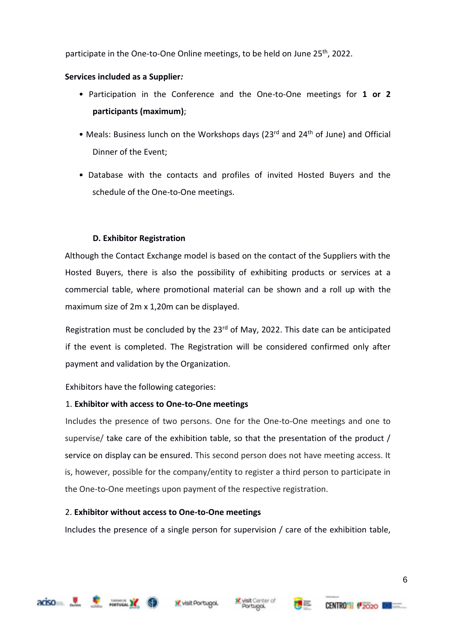participate in the One-to-One Online meetings, to be held on June 25<sup>th</sup>, 2022.

### **Services included as a Supplier***:*

- Participation in the Conference and the One-to-One meetings for **1 or 2 participants (maximum)**;
- Meals: Business lunch on the Workshops days (23<sup>rd</sup> and 24<sup>th</sup> of June) and Official Dinner of the Event;
- Database with the contacts and profiles of invited Hosted Buyers and the schedule of the One-to-One meetings.

## **D. Exhibitor Registration**

Although the Contact Exchange model is based on the contact of the Suppliers with the Hosted Buyers, there is also the possibility of exhibiting products or services at a commercial table, where promotional material can be shown and a roll up with the maximum size of 2m x 1,20m can be displayed.

Registration must be concluded by the  $23<sup>rd</sup>$  of May, 2022. This date can be anticipated if the event is completed. The Registration will be considered confirmed only after payment and validation by the Organization.

Exhibitors have the following categories:

## 1. **Exhibitor with access to One-to-One meetings**

Includes the presence of two persons. One for the One-to-One meetings and one to supervise/ take care of the exhibition table, so that the presentation of the product / service on display can be ensured. This second person does not have meeting access. It is, however, possible for the company/entity to register a third person to participate in the One-to-One meetings upon payment of the respective registration.

## 2. **Exhibitor without access to One-to-One meetings**

Includes the presence of a single person for supervision / care of the exhibition table,











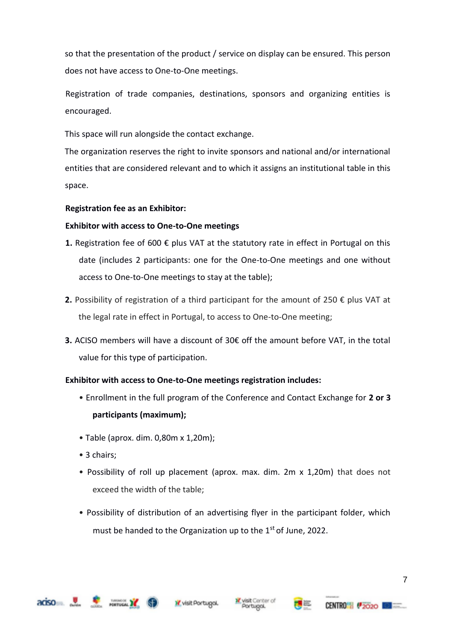so that the presentation of the product / service on display can be ensured. This person does not have access to One-to-One meetings.

Registration of trade companies, destinations, sponsors and organizing entities is encouraged.

This space will run alongside the contact exchange.

The organization reserves the right to invite sponsors and national and/or international entities that are considered relevant and to which it assigns an institutional table in this space.

#### **Registration fee as an Exhibitor:**

#### **Exhibitor with access to One-to-One meetings**

- **1.** Registration fee of 600  $\epsilon$  plus VAT at the statutory rate in effect in Portugal on this date (includes 2 participants: one for the One-to-One meetings and one without access to One-to-One meetings to stay at the table);
- **2.** Possibility of registration of a third participant for the amount of 250 € plus VAT at the legal rate in effect in Portugal, to access to One-to-One meeting;
- **3.** ACISO members will have a discount of 30€ off the amount before VAT, in the total value for this type of participation.

#### **Exhibitor with access to One-to-One meetings registration includes:**

- Enrollment in the full program of the Conference and Contact Exchange for **2 or 3 participants (maximum);**
- Table (aprox. dim. 0,80m x 1,20m);
- 3 chairs:
- Possibility of roll up placement (aprox. max. dim. 2m x 1,20m) that does not exceed the width of the table;
- Possibility of distribution of an advertising flyer in the participant folder, which must be handed to the Organization up to the  $1<sup>st</sup>$  of June, 2022.



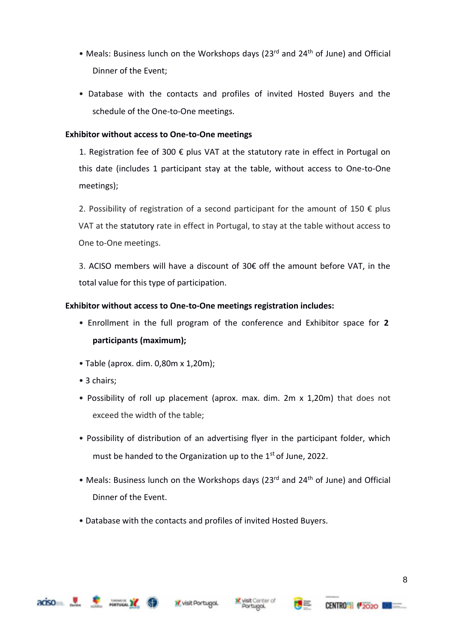- Meals: Business lunch on the Workshops days (23rd and 24<sup>th</sup> of June) and Official Dinner of the Event;
- Database with the contacts and profiles of invited Hosted Buyers and the schedule of the One-to-One meetings.

#### **Exhibitor without access to One-to-One meetings**

1. Registration fee of 300  $\epsilon$  plus VAT at the statutory rate in effect in Portugal on this date (includes 1 participant stay at the table, without access to One-to-One meetings);

2. Possibility of registration of a second participant for the amount of 150  $\epsilon$  plus VAT at the statutory rate in effect in Portugal, to stay at the table without access to One to-One meetings.

3. ACISO members will have a discount of 30€ off the amount before VAT, in the total value for this type of participation.

#### **Exhibitor without access to One-to-One meetings registration includes:**

- Enrollment in the full program of the conference and Exhibitor space for **2 participants (maximum);**
- Table (aprox. dim. 0,80m x 1,20m);
- 3 chairs:
- Possibility of roll up placement (aprox. max. dim. 2m x 1,20m) that does not exceed the width of the table;
- Possibility of distribution of an advertising flyer in the participant folder, which must be handed to the Organization up to the  $1<sup>st</sup>$  of June, 2022.
- Meals: Business lunch on the Workshops days (23<sup>rd</sup> and 24<sup>th</sup> of June) and Official Dinner of the Event.
- Database with the contacts and profiles of invited Hosted Buyers.





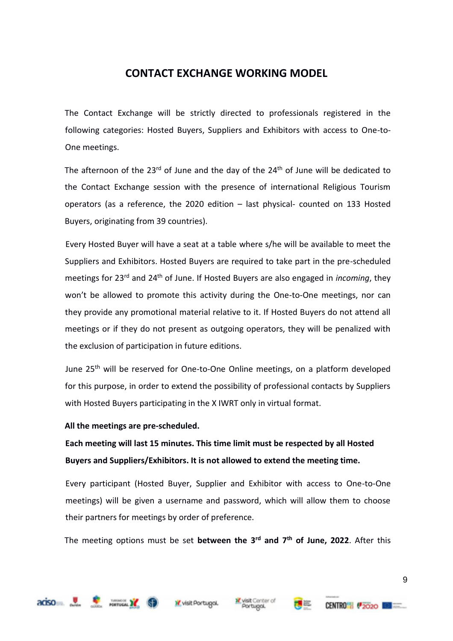## **CONTACT EXCHANGE WORKING MODEL**

The Contact Exchange will be strictly directed to professionals registered in the following categories: Hosted Buyers, Suppliers and Exhibitors with access to One-to-One meetings.

The afternoon of the  $23<sup>rd</sup>$  of June and the day of the  $24<sup>th</sup>$  of June will be dedicated to the Contact Exchange session with the presence of international Religious Tourism operators (as a reference, the 2020 edition – last physical- counted on 133 Hosted Buyers, originating from 39 countries).

Every Hosted Buyer will have a seat at a table where s/he will be available to meet the Suppliers and Exhibitors. Hosted Buyers are required to take part in the pre-scheduled meetings for 23rd and 24th of June. If Hosted Buyers are also engaged in *incoming*, they won't be allowed to promote this activity during the One-to-One meetings, nor can they provide any promotional material relative to it. If Hosted Buyers do not attend all meetings or if they do not present as outgoing operators, they will be penalized with the exclusion of participation in future editions.

June 25<sup>th</sup> will be reserved for One-to-One Online meetings, on a platform developed for this purpose, in order to extend the possibility of professional contacts by Suppliers with Hosted Buyers participating in the X IWRT only in virtual format.

#### **All the meetings are pre-scheduled.**

**Each meeting will last 15 minutes. This time limit must be respected by all Hosted Buyers and Suppliers/Exhibitors. It is not allowed to extend the meeting time.**

Every participant (Hosted Buyer, Supplier and Exhibitor with access to One-to-One meetings) will be given a username and password, which will allow them to choose their partners for meetings by order of preference.

The meeting options must be set **between the 3 rd and 7 th of June, 2022**. After this









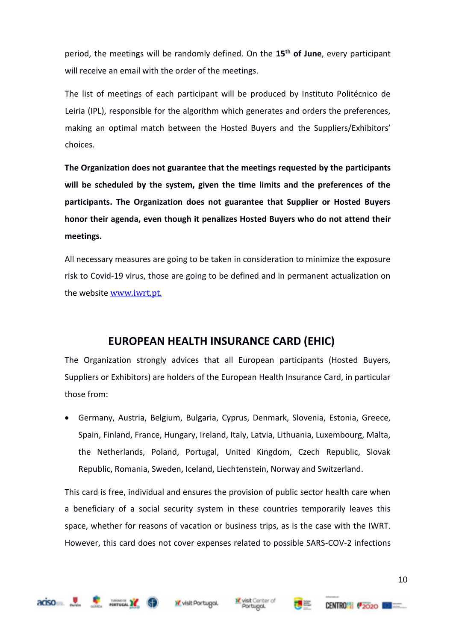period, the meetings will be randomly defined. On the **15th of June**, every participant will receive an email with the order of the meetings.

The list of meetings of each participant will be produced by Instituto Politécnico de Leiria (IPL), responsible for the algorithm which generates and orders the preferences, making an optimal match between the Hosted Buyers and the Suppliers/Exhibitors' choices.

**The Organization does not guarantee that the meetings requested by the participants will be scheduled by the system, given the time limits and the preferences of the participants. The Organization does not guarantee that Supplier or Hosted Buyers honor their agenda, even though it penalizes Hosted Buyers who do not attend their meetings.** 

All necessary measures are going to be taken in consideration to minimize the exposure risk to Covid-19 virus, those are going to be defined and in permanent actualization on the website [www.iwrt.pt.](http://www.iwrt.pt/)

## **EUROPEAN HEALTH INSURANCE CARD (EHIC)**

The Organization strongly advices that all European participants (Hosted Buyers, Suppliers or Exhibitors) are holders of the European Health Insurance Card, in particular those from:

• Germany, Austria, Belgium, Bulgaria, Cyprus, Denmark, Slovenia, Estonia, Greece, Spain, Finland, France, Hungary, Ireland, Italy, Latvia, Lithuania, Luxembourg, Malta, the Netherlands, Poland, Portugal, United Kingdom, Czech Republic, Slovak Republic, Romania, Sweden, Iceland, Liechtenstein, Norway and Switzerland.

This card is free, individual and ensures the provision of public sector health care when a beneficiary of a social security system in these countries temporarily leaves this space, whether for reasons of vacation or business trips, as is the case with the IWRT. However, this card does not cover expenses related to possible SARS-COV-2 infections